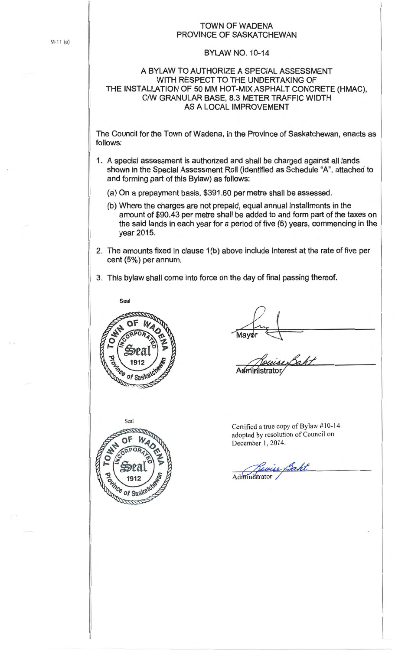## **TOWN** OF **WADENA PROVINCE** OF **SASKATCHEWAN**

## **BYLAW NO.** 10-14

## **A BYLAW TO AUTHORIZE A SPECIAL ASSESSMENT** WITH RESPECT TO THE **UNDERTAKING** OF THE **INSTALLATION** OF 50 **MM HOT-MIX ASPHALT CONCRETE (HMAC), C/W GRANULAR BASE,** 8.3 **METER TRAFFIC WIDTH AS A LOCAL IMPROVEMENT**

The Council for the Town of Wadena, in the Province of Saskatchewan, enacts as follows:

- 1. A special assessment is authorized and shall be charged against all lands shown in the Special Assessment Roll (identified as Schedule **"A",** attached to and forming part of this Bylaw) as follows:
	- (a) On a prepayment basis, \$391 .60 per metre shall be assessed.
	- (b) Where the charges are not prepaid, equal annual installments in the amount of \$90.43 per metre shall be added to and form part of the taxes on the said lands in each year for a period of five (5) years, commencing in the year 2015.
- 2. The amounts fixed in clause 1(b) above include interest at the rate of five per cent (5%) per annum.
- 3. This bylaw shall come into force on the day of final passing thereof.





Mavo

Administra

Certified a true copy of Bylaw #10-14 adopted by resolution of Council on December I, 2014.

Bouise Saht

Administrator

M-11 (a)